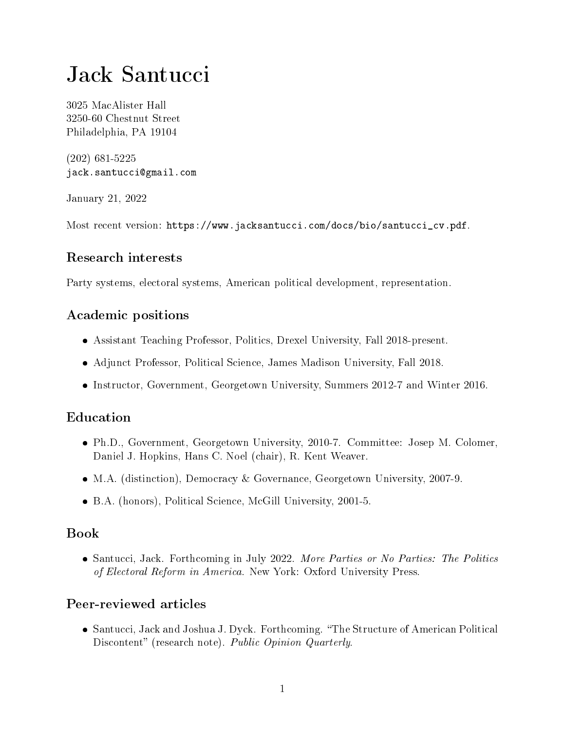# [Jack Santucci](https://www.jacksantucci.com)

3025 MacAlister Hall 3250-60 Chestnut Street Philadelphia, PA 19104

(202) 681-5225 [jack.santucci@gmail.com](mailto:jack.santucci@gmail.com)

January 21, 2022

Most recent version: [https://www.jacksantucci.com/docs/bio/santucci\\_cv.pdf.](https://www.jacksantucci.com/docs/bio/santucci_cv.pdf)

# Research interests

Party systems, electoral systems, American political development, representation.

## Academic positions

- Assistant Teaching Professor, Politics, Drexel University, Fall 2018-present.
- Adjunct Professor, Political Science, James Madison University, Fall 2018.
- Instructor, Government, Georgetown University, Summers 2012-7 and Winter 2016.

# Education

- Ph.D., Government, Georgetown University, 2010-7. Committee: Josep M. Colomer, Daniel J. Hopkins, Hans C. Noel (chair), R. Kent Weaver.
- M.A. (distinction), Democracy & Governance, Georgetown University, 2007-9.
- B.A. (honors), Political Science, McGill University, 2001-5.

#### Book

• Santucci, Jack. Forthcoming in July 2022. More Parties or No Parties: The Politics of Electoral Reform in America. New York: Oxford University Press.

# Peer-reviewed articles

 Santucci, Jack and Joshua J. Dyck. Forthcoming. The Structure of American Political Discontent" (research note). Public Opinion Quarterly.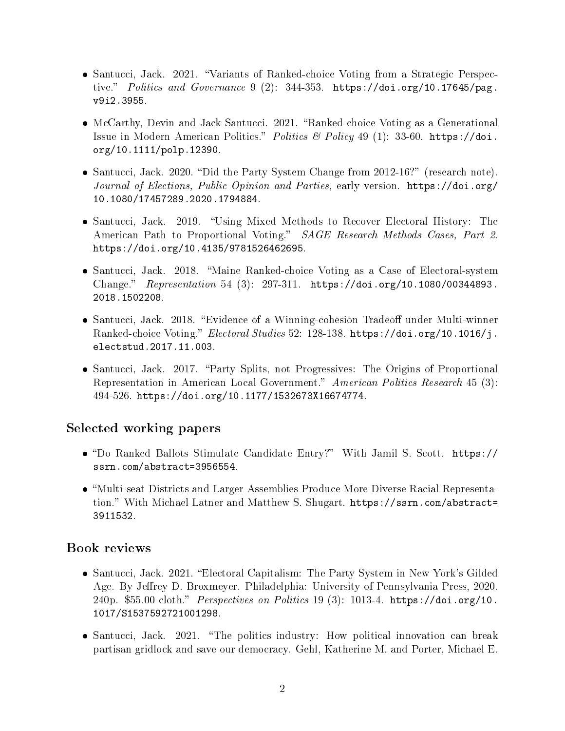- Santucci, Jack. 2021. "Variants of Ranked-choice Voting from a Strategic Perspective." Politics and Governance 9 (2): 344-353. [https://doi.org/10.17645/pag.](https://doi.org/10.17645/pag.v9i2.3955) [v9i2.3955.](https://doi.org/10.17645/pag.v9i2.3955)
- McCarthy, Devin and Jack Santucci. 2021. "Ranked-choice Voting as a Generational Issue in Modern American Politics." Politics & Policy 49 (1): 33-60. [https://doi.](https://doi.org/10.1111/polp.12390) [org/10.1111/polp.12390.](https://doi.org/10.1111/polp.12390)
- Santucci, Jack. 2020. "Did the Party System Change from 2012-16?" (research note). Journal of Elections, Public Opinion and Parties, early version. [https://doi.org/](https://doi.org/10.1080/17457289.2020.1794884) [10.1080/17457289.2020.1794884.](https://doi.org/10.1080/17457289.2020.1794884)
- Santucci, Jack. 2019. "Using Mixed Methods to Recover Electoral History: The American Path to Proportional Voting." SAGE Research Methods Cases, Part 2. [https://doi.org/10.4135/9781526462695.](https://doi.org/10.4135/9781526462695)
- Santucci, Jack. 2018. Maine Ranked-choice Voting as a Case of Electoral-system Change."  $Representation 54 (3): 297-311. \n<https://doi.org/10.1080/00344893>.$ [2018.1502208.](https://doi.org/10.1080/00344893.2018.1502208)
- Santucci, Jack. 2018. "Evidence of a Winning-cohesion Tradeoff under Multi-winner [Ranked-choice Voting.](https://osf.io/preprints/socarxiv/qjtwn/)" Electoral Studies 52: 128-138. [https://doi.org/10.1016/j.](https://doi.org/10.1016/j.electstud.2017.11.003) [electstud.2017.11.003.](https://doi.org/10.1016/j.electstud.2017.11.003)
- Santucci, Jack. 2017. "Party Splits, not Progressives: The Origins of Proportional Representation in American Local Government." American Politics Research 45 (3): 494-526. [https://doi.org/10.1177/1532673X16674774.](https://doi.org/10.1177/1532673X16674774)

#### Selected working papers

- Do Ranked Ballots Stimulate Candidate Entry? With Jamil S. Scott. [https://](https://ssrn.com/abstract=3956554) [ssrn.com/abstract=3956554.](https://ssrn.com/abstract=3956554)
- Multi-seat Districts and Larger Assemblies Produce More Diverse Racial Representation." With Michael Latner and Matthew S. Shugart. [https://ssrn.com/abstract=](https://ssrn.com/abstract=3911532) [3911532.](https://ssrn.com/abstract=3911532)

#### Book reviews

- Santucci, Jack. 2021. "Electoral Capitalism: The Party System in New York's Gilded Age. By Jeffrey D. Broxmeyer. Philadelphia: University of Pennsylvania Press, 2020. 240p. \$55.00 cloth." Perspectives on Politics 19 (3): 1013-4. [https://doi.org/10.](https://doi.org/10.1017/S1537592721001298) [1017/S1537592721001298.](https://doi.org/10.1017/S1537592721001298)
- Santucci, Jack. 2021. "The politics industry: How political innovation can break partisan gridlock and save our democracy. Gehl, Katherine M. and Porter, Michael E.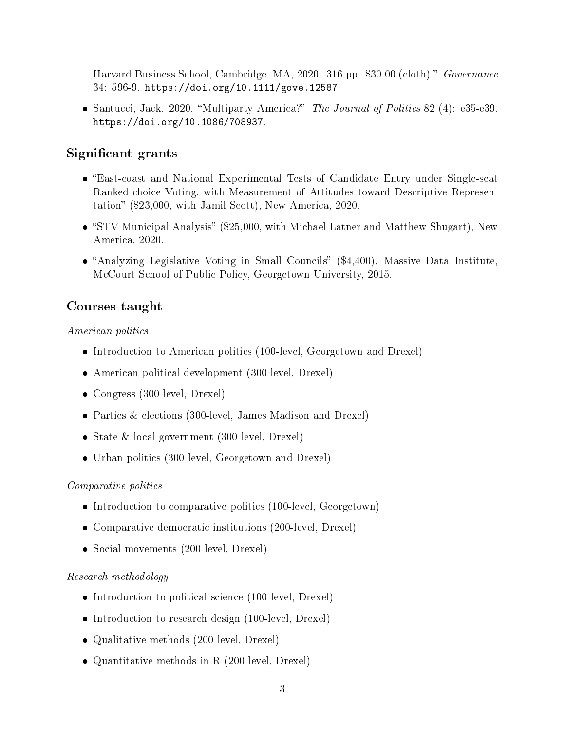Harvard Business School, Cambridge, MA, 2020. 316 pp. \$30.00 (cloth)." Governance 34: 596-9. [https://doi.org/10.1111/gove.12587.](https://doi.org/10.1111/gove.12587)

• Santucci, Jack. 2020. "Multiparty America?" The Journal of Politics 82 (4): e35-e39. [https://doi.org/10.1086/708937.](https://doi.org/10.1086/708937)

### Significant grants

- East-coast and National Experimental Tests of Candidate Entry under Single-seat Ranked-choice Voting, with Measurement of Attitudes toward Descriptive Representation" (\$23,000, with Jamil Scott), New America, 2020.
- "STV Municipal Analysis" (\$25,000, with Michael Latner and Matthew Shugart), New America, 2020.
- $\bullet$  "Analyzing Legislative Voting in Small Councils" (\$4,400), Massive Data Institute, McCourt School of Public Policy, Georgetown University, 2015.

## Courses taught

American politics

- Introduction to American politics (100-level, Georgetown and Drexel)
- American political development (300-level, Drexel)
- Congress (300-level, Drexel)
- Parties & elections (300-level, James Madison and Drexel)
- State & local government (300-level, Drexel)
- Urban politics (300-level, Georgetown and Drexel)

#### Comparative politics

- Introduction to comparative politics (100-level, Georgetown)
- Comparative democratic institutions (200-level, Drexel)
- Social movements (200-level, Drexel)

#### Research methodology

- Introduction to political science (100-level, Drexel)
- Introduction to research design (100-level, Drexel)
- Qualitative methods (200-level, Drexel)
- Quantitative methods in R (200-level, Drexel)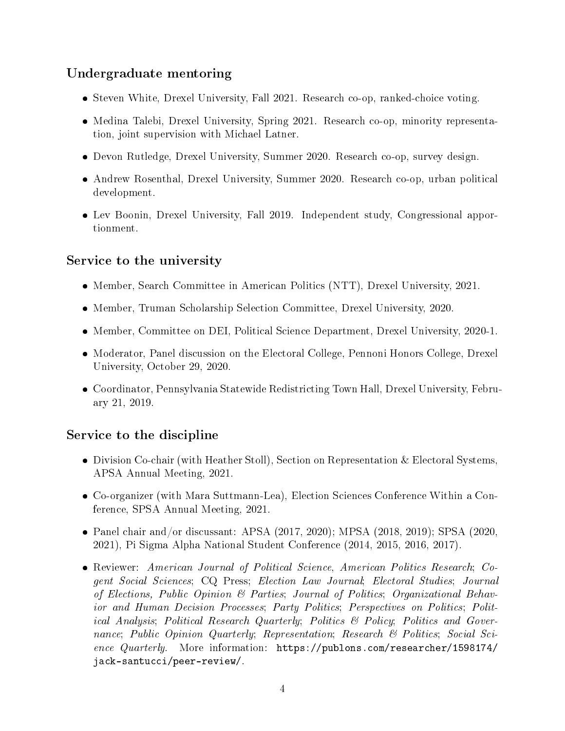## Undergraduate mentoring

- Steven White, Drexel University, Fall 2021. Research co-op, ranked-choice voting.
- Medina Talebi, Drexel University, Spring 2021. Research co-op, minority representation, joint supervision with Michael Latner.
- Devon Rutledge, Drexel University, Summer 2020. Research co-op, survey design.
- Andrew Rosenthal, Drexel University, Summer 2020. Research co-op, urban political development.
- Lev Boonin, Drexel University, Fall 2019. Independent study, Congressional apportionment.

## Service to the university

- Member, Search Committee in American Politics (NTT), Drexel University, 2021.
- Member, Truman Scholarship Selection Committee, Drexel University, 2020.
- Member, Committee on DEI, Political Science Department, Drexel University, 2020-1.
- Moderator, Panel discussion on the Electoral College, Pennoni Honors College, Drexel University, October 29, 2020.
- Coordinator, Pennsylvania Statewide Redistricting Town Hall, Drexel University, February 21, 2019.

# Service to the discipline

- Division Co-chair (with Heather Stoll), Section on Representation & Electoral Systems, APSA Annual Meeting, 2021.
- Co-organizer (with Mara Suttmann-Lea), Election Sciences Conference Within a Conference, SPSA Annual Meeting, 2021.
- Panel chair and/or discussant: APSA (2017, 2020); MPSA (2018, 2019); SPSA (2020, 2021), Pi Sigma Alpha National Student Conference (2014, 2015, 2016, 2017).
- Reviewer: American Journal of Political Science, American Politics Research; Cogent Social Sciences; CQ Press; Election Law Journal; Electoral Studies; Journal of Elections, Public Opinion & Parties; Journal of Politics; Organizational Behavior and Human Decision Processes; Party Politics; Perspectives on Politics; Political Analysis; Political Research Quarterly; Politics & Policy; Politics and Governance; Public Opinion Quarterly; Representation; Research & Politics; Social Science Quarterly. More information: [https://publons.com/researcher/1598174/](https://publons.com/researcher/1598174/jack-santucci/peer-review/) [jack-santucci/peer-review/.](https://publons.com/researcher/1598174/jack-santucci/peer-review/)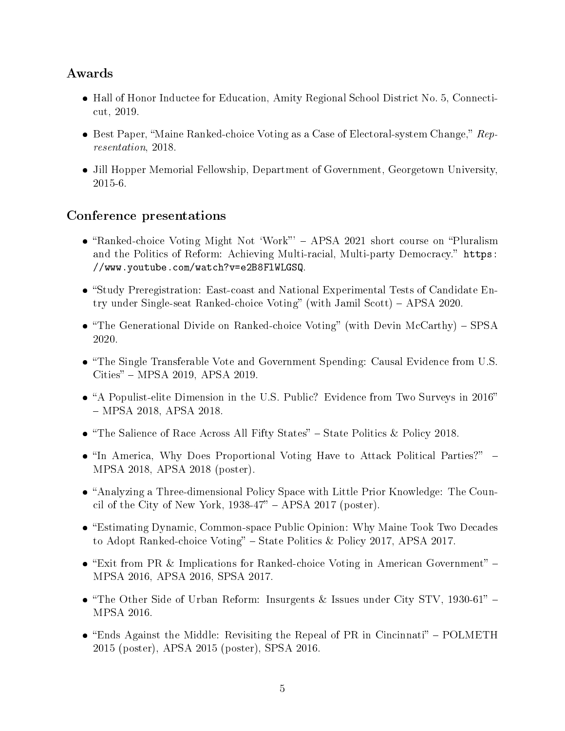#### Awards

- Hall of Honor Inductee for Education, Amity Regional School District No. 5, Connecticut, 2019.
- Best Paper, "Maine Ranked-choice Voting as a Case of Electoral-system Change,"  $Rep$ resentation, 2018.
- Jill Hopper Memorial Fellowship, Department of Government, Georgetown University, 2015-6.

#### Conference presentations

- "Ranked-choice Voting Might Not 'Work"' APSA 2021 short course on "Pluralism and the Politics of Reform: Achieving Multi-racial, Multi-party Democracy." [https:](https://www.youtube.com/watch?v=e2B8FlWLGSQ) [//www.youtube.com/watch?v=e2B8FlWLGSQ.](https://www.youtube.com/watch?v=e2B8FlWLGSQ)
- Study Preregistration: East-coast and National Experimental Tests of Candidate Entry under Single-seat Ranked-choice Voting" (with Jamil Scott)  $-$  APSA 2020.
- "The Generational Divide on Ranked-choice Voting" (with Devin McCarthy)  $SPSA$ 2020.
- The Single Transferable Vote and Government Spending: Causal Evidence from U.S. Cities" - MPSA 2019, APSA 2019.
- A Populist-elite Dimension in the U.S. Public? Evidence from Two Surveys in 2016 MPSA 2018, APSA 2018.
- $\bullet$  "The Salience of Race Across All Fifty States" State Politics & Policy 2018.
- "In America, Why Does Proportional Voting Have to Attack Political Parties?" -MPSA 2018, APSA 2018 (poster).
- Analyzing a Three-dimensional Policy Space with Little Prior Knowledge: The Council of the City of New York,  $1938-47"$  – APSA 2017 (poster).
- Estimating Dynamic, Common-space Public Opinion: Why Maine Took Two Decades to Adopt Ranked-choice Voting" – State Politics & Policy 2017, APSA 2017.
- $\bullet$  "Exit from PR & Implications for Ranked-choice Voting in American Government" -MPSA 2016, APSA 2016, SPSA 2017.
- "The Other Side of Urban Reform: Insurgents & Issues under City STV, 1930-61" -MPSA 2016.
- "Ends Against the Middle: Revisiting the Repeal of PR in Cincinnati" POLMETH 2015 (poster), APSA 2015 (poster), SPSA 2016.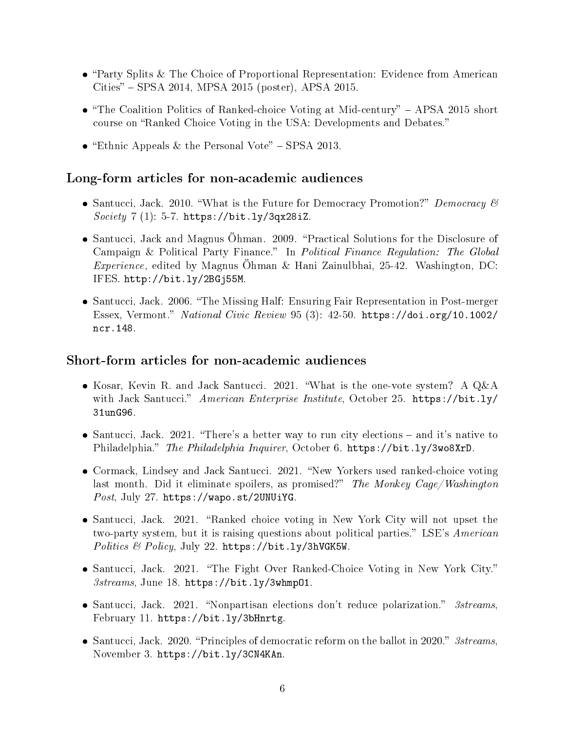- Party Splits & The Choice of Proportional Representation: Evidence from American  $Cities'' - SPSA 2014, MPSA 2015 (poster), APSA 2015.$
- $\bullet$  "The Coalition Politics of Ranked-choice Voting at Mid-century" APSA 2015 short course on "Ranked Choice Voting in the USA: Developments and Debates."
- "Ethnic Appeals & the Personal Vote" SPSA 2013.

#### Long-form articles for non-academic audiences

- Santucci, Jack. 2010. "What is the Future for Democracy Promotion?" Democracy  $\mathcal B$  $Society 7 (1): 5-7. <https://bit.ly/3qx28iZ.>$  $Society 7 (1): 5-7. <https://bit.ly/3qx28iZ.>$  $Society 7 (1): 5-7. <https://bit.ly/3qx28iZ.>$
- Santucci, Jack and Magnus Öhman. 2009. "Practical Solutions for the Disclosure of Campaign & Political Party Finance." In [Political Finance Regulation: The Global](http://www.eods.eu/library/IFES.Political_Finance_Regulation_The_Global_Experience.pdf) *Experience*, edited by Magnus Öhman & Hani Zainulbhai, 25-42. Washington, DC: IFES. [http://bit.ly/2BGj55M.](http://bit.ly/2BGj55M)
- Santucci, Jack. 2006. "[The Missing Half: Ensuring Fair Representation in Post-merger](http://onlinelibrary.wiley.com/doi/10.1002/ncr.148/abstract) [Essex, Vermont.](http://onlinelibrary.wiley.com/doi/10.1002/ncr.148/abstract)" National Civic Review 95 (3): 42-50. [https://doi.org/10.1002/](https://doi.org/10.1002/ncr.148) [ncr.148.](https://doi.org/10.1002/ncr.148)

#### Short-form articles for non-academic audiences

- Kosar, Kevin R. and Jack Santucci. 2021. What is the one-vote system? A Q&A with Jack Santucci." American Enterprise Institute, October 25. [https://bit.ly/](https://bit.ly/31unG96) [31unG96.](https://bit.ly/31unG96)
- $\bullet$  Santucci, Jack. 2021. "There's a better way to run city elections and it's native to Philadelphia." The Philadelphia Inquirer, October 6. [https://bit.ly/3wo8XrD.](https://bit.ly/3wo8XrD)
- Cormack, Lindsey and Jack Santucci. 2021. "New Yorkers used ranked-choice voting last month. Did it eliminate spoilers, as promised?" The Monkey Cage/Washington Post, July 27. [https://wapo.st/2UNUiYG.](https://wapo.st/2UNUiYG)
- Santucci, Jack. 2021. "Ranked choice voting in New York City will not upset the two-party system, but it is raising questions about political parties." LSE's American Politics & Policy, July 22. [https://bit.ly/3hVGK5W.](https://bit.ly/3hVGK5W)
- Santucci, Jack. 2021. "The Fight Over Ranked-Choice Voting in New York City." 3streams, June 18. [https://bit.ly/3whmpO1.](https://bit.ly/3whmpO1)
- $\bullet$  Santucci, Jack. 2021. "Nonpartisan elections don't reduce polarization." 3streams, February 11. [https://bit.ly/3bHnrtg.](https://bit.ly/3bHnrtg)
- Santucci, Jack. 2020. "Principles of democratic reform on the ballot in 2020."  $3streams$ , November 3. [https://bit.ly/3CN4KAn.](https://bit.ly/3CN4KAn)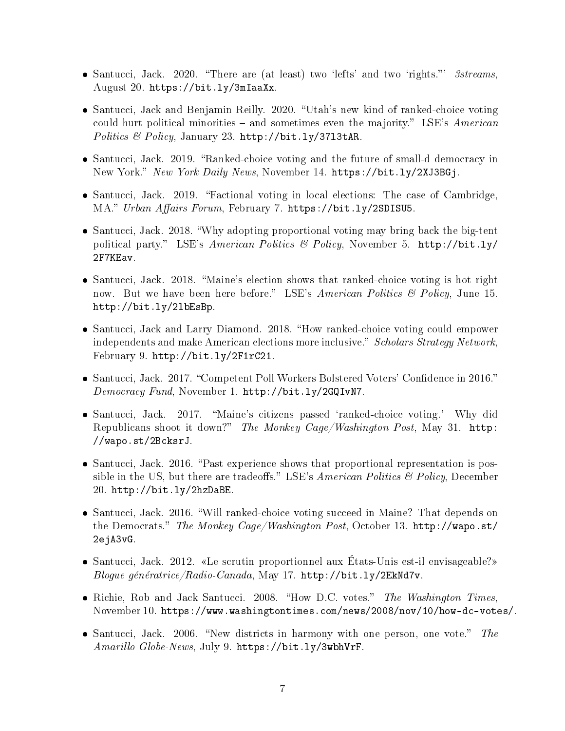- Santucci, Jack. 2020. "There are (at least) two 'lefts' and two 'rights."'  $3streams$ , August 20. [https://bit.ly/3mIaaXx.](https://bit.ly/3mIaaXx)
- Santucci, Jack and Benjamin Reilly. 2020. "[Utah's new kind of ranked-choice voting](http://bit.ly/37l3tAR ) could hurt political minorities  $-$  and sometimes even the majority." LSE's American Politics & Policy, January 23. [http://bit.ly/37l3tAR.](http://bit.ly/37l3tAR)
- Santucci, Jack. 2019. "[Ranked-choice voting and the future of small-d democracy in](https://www.nydailynews.com/opinion/ny-oped-ranked-choice-voting-and-small-d-democracy-20191114-b4yhi6orofg2tg7t7on3jieabe-story.html) [New York.](https://www.nydailynews.com/opinion/ny-oped-ranked-choice-voting-and-small-d-democracy-20191114-b4yhi6orofg2tg7t7on3jieabe-story.html)" New York Daily News, November 14. [https://bit.ly/2XJ3BGj.](https://bit.ly/2XJ3BGj)
- Santucci, Jack. 2019. [Factional voting in local elections: The case of Cambridge,](https://urbanaffairsreview.com/2019/02/07/factional-voting-in-local-elections-the-case-of-cambridge-ma/) [MA.](https://urbanaffairsreview.com/2019/02/07/factional-voting-in-local-elections-the-case-of-cambridge-ma/)" Urban Affairs Forum, February 7. [https://bit.ly/2SDISU5.](https://bit.ly/2SDISU5)
- Santucci, Jack. 2018. [Why adopting proportional voting may bring back the big-tent](http://bit.ly/2F7KEav) [political party.](http://bit.ly/2F7KEav)" LSE's American Politics & Policy, November 5. [http://bit.ly/](http://bit.ly/2F7KEav) [2F7KEav.](http://bit.ly/2F7KEav)
- Santucci, Jack. 2018. "[Maine's election shows that ranked-choice voting is hot right](http://blogs.lse.ac.uk/usappblog/2018/06/15/maines-election-shows-that-ranked-choice-voting-is-hot-right-now-but-we-have-been-here-before/) [now. But we have been here before.](http://blogs.lse.ac.uk/usappblog/2018/06/15/maines-election-shows-that-ranked-choice-voting-is-hot-right-now-but-we-have-been-here-before/)" LSE's American Politics  $\mathcal B$  Policy, June 15. [http://bit.ly/2lbEsBp.](http://bit.ly/2lbEsBp)
- Santucci, Jack and Larry Diamond. 2018. "[How ranked-choice voting could empower](http://www.scholarsstrategynetwork.org/brief/how-ranked-choice-voting-could-empower-independents-and-make-american-elections-more-inclusive) [independents and make American elections more inclusive.](http://www.scholarsstrategynetwork.org/brief/how-ranked-choice-voting-could-empower-independents-and-make-american-elections-more-inclusive)" Scholars Strategy Network, February 9. [http://bit.ly/2F1rC21.](http://bit.ly/2F1rC21)
- Santucci, Jack. 2017. "Competent Poll Workers Bolstered Voters' Confidence in 2016." Democracy Fund, November 1. [http://bit.ly/2GQIvN7.](http://bit.ly/2GQIvN7)
- Santucci, Jack. 2017. "Maine's citizens passed 'ranked-choice voting.' Why did [Republicans shoot it down?](https://www.washingtonpost.com/news/monkey-cage/wp/2017/05/31/maines-citizens-passed-ranked-choice-voting-why-did-republicans-shoot-it-down/)" The Monkey Cage/Washington Post, May 31. [http:](http://wapo.st/2BcksrJ) [//wapo.st/2BcksrJ.](http://wapo.st/2BcksrJ)
- Santucci, Jack. 2016. "[Past experience shows that proportional representation is pos](http://blogs.lse.ac.uk/usappblog/2016/12/20/past-experience-shows-that-proportional-representation-is-possible-in-the-us-but-there-are-tradeoffs/)sible in the US, but there are tradeoffs." LSE's American Politics  $\mathcal{B}$  Policy, December 20. [http://bit.ly/2hzDaBE.](http://bit.ly/2hzDaBE)
- Santucci, Jack. 2016. [Will ranked-choice voting succeed in Maine? That depends on](https://www.washingtonpost.com/news/monkey-cage/wp/2016/10/13/will-ranked-choice-voting-succeed-in-maine-that-depends-on-the-democrats/) [the Democrats.](https://www.washingtonpost.com/news/monkey-cage/wp/2016/10/13/will-ranked-choice-voting-succeed-in-maine-that-depends-on-the-democrats/)" The Monkey Cage/Washington Post, October 13. [http://wapo.st/](http://wapo.st/2ejA3vG) [2ejA3vG.](http://wapo.st/2ejA3vG)
- Santucci, Jack. 2012. «[Le scrutin proportionnel aux États-Unis est-il envisageable?](http://blogues.radio-canada.ca/generatrice/2012/05/17/le-scrutin-proportionnel-aux-etats-unis-est-il-envisageable/)» Blogue génératrice/Radio-Canada, May 17. [http://bit.ly/2EkNd7v.](http://bit.ly/2EkNd7v)
- Richie, Rob and Jack Santucci. 2008. "How D.C. votes." The Washington Times, November 10. [https://www.washingtontimes.com/news/2008/nov/10/how-dc-votes/.](https://www.washingtontimes.com/news/2008/nov/10/how-dc-votes/)
- Santucci, Jack. 2006. "New districts in harmony with one person, one vote." The Amarillo Globe-News, July 9. [https://bit.ly/3wbhVrF.](https://bit.ly/3wbhVrF)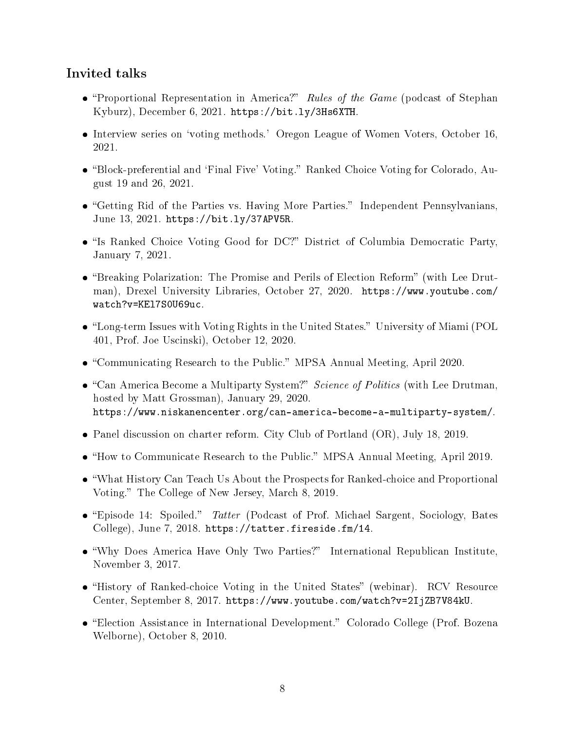#### Invited talks

- "Proportional Representation in America?" Rules of the Game (podcast of Stephan Kyburz), December 6, 2021. [https://bit.ly/3Hs6XTH.](https://bit.ly/3Hs6XTH)
- **Interview series on 'voting methods.' Oregon League of Women Voters, October 16,** 2021.
- "Block-preferential and 'Final Five' Voting." Ranked Choice Voting for Colorado, August 19 and 26, 2021.
- "Getting Rid of the Parties vs. Having More Parties." Independent Pennsylvanians, June 13, 2021. [https://bit.ly/37APV5R.](https://bit.ly/37APV5R)
- . "Is Ranked Choice Voting Good for DC?" District of Columbia Democratic Party, January 7, 2021.
- "Breaking Polarization: The Promise and Perils of Election Reform" (with Lee Drutman), Drexel University Libraries, October 27, 2020. [https://www.youtube.com/](https://www.youtube.com/watch?v=KEl7S0U69uc) [watch?v=KEl7S0U69uc.](https://www.youtube.com/watch?v=KEl7S0U69uc)
- "Long-term Issues with Voting Rights in the United States." University of Miami (POL 401, Prof. Joe Uscinski), October 12, 2020.
- "Communicating Research to the Public." MPSA Annual Meeting, April 2020.
- $\bullet$  "Can America Become a Multiparty System?" Science of Politics (with Lee Drutman, hosted by Matt Grossman), January 29, 2020. [https://www.niskanencenter.org/can-america-become-a-multiparty-system/.](https://www.niskanencenter.org/can-america-become-a-multiparty-system/)
- Panel discussion on charter reform. City Club of Portland (OR), July 18, 2019.
- "How to Communicate Research to the Public." MPSA Annual Meeting, April 2019.
- What History Can Teach Us About the Prospects for Ranked-choice and Proportional Voting." The College of New Jersey, March 8, 2019.
- "Episode 14: Spoiled." Tatter (Podcast of Prof. Michael Sargent, Sociology, Bates College), June 7, 2018. [https://tatter.fireside.fm/14.](https://tatter.fireside.fm/14)
- "Why Does America Have Only Two Parties?" International Republican Institute, November 3, 2017.
- "History of Ranked-choice Voting in the United States" (webinar). RCV Resource Center, September 8, 2017. [https://www.youtube.com/watch?v=2IjZB7V84kU.](https://www.youtube.com/watch?v=2IjZB7V84kU)
- "Election Assistance in International Development." Colorado College (Prof. Bozena Welborne), October 8, 2010.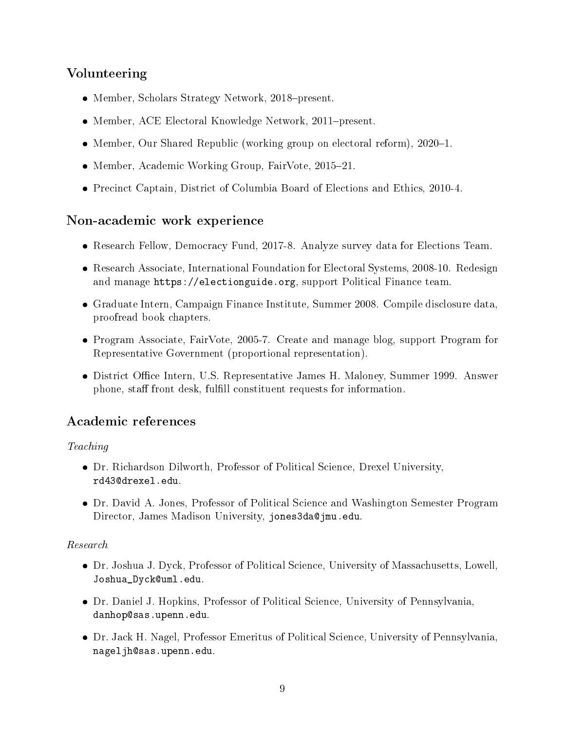## Volunteering

- $\bullet$  Member, Scholars Strategy Network, 2018-present.
- Member, [ACE Electoral Knowledge Network,](http://www.aceproject.org) 2011-present.
- Member, Our Shared Republic (working group on electoral reform), 2020-1.
- Member, Academic Working Group, FairVote, 2015-21.
- Precinct Captain, District of Columbia Board of Elections and Ethics, 2010-4.

#### Non-academic work experience

- Research Fellow, [Democracy Fund,](http://www.democracyfund.org) 2017-8. Analyze survey data for Elections Team.
- Research Associate, [International Foundation for Electoral Systems,](http://www.ifes.org) 2008-10. Redesign and manage [https://electionguide.org,](https://electionguide.org) support Political Finance team.
- Graduate Intern, [Campaign Finance Institute,](http://www.cfinst.org) Summer 2008. Compile disclosure data, proofread book chapters.
- Program Associate, [FairVote,](http://www.fairvote.org) 2005-7. Create and manage blog, support Program for Representative Government (proportional representation).
- District Office Intern, U.S. Representative James H. Maloney, Summer 1999. Answer phone, staff front desk, fulfill constituent requests for information.

#### Academic references

#### Teaching

- Dr. Richardson Dilworth, Professor of Political Science, Drexel University, [rd43@drexel.edu.](mailto:rd43@drexel.edu)
- Dr. David A. Jones, Professor of Political Science and Washington Semester Program Director, James Madison University, [jones3da@jmu.edu.](mailto:jones3da@jmu.edu)

#### Research

- Dr. Joshua J. Dyck, Professor of Political Science, University of Massachusetts, Lowell, [Joshua\\_Dyck@uml.edu.](mailto:Joshua_Dyck@uml.edu)
- Dr. Daniel J. Hopkins, Professor of Political Science, University of Pennsylvania, [danhop@sas.upenn.edu.](mailto:danhop@sas.upenn.edu)
- Dr. Jack H. Nagel, Professor Emeritus of Political Science, University of Pennsylvania, [nageljh@sas.upenn.edu.](mailto:nageljh@sas.upenn.edu)